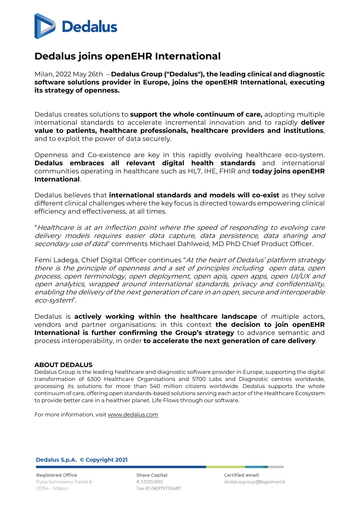

## **Dedalus joins openEHR International**

Milan, 2022 May 26th– **Dedalus Group ("Dedalus"), the leading clinical and diagnostic software solutions provider in Europe, joins the openEHR International, executing its strategy of openness.**

Dedalus creates solutions to **support the whole continuum of care,** adopting multiple international standards to accelerate incremental innovation and to rapidly **deliver value to patients, healthcare professionals, healthcare providers and institutions**, and to exploit the power of data securely.

Openness and Co-existence are key in this rapidly evolving healthcare eco-system. **Dedalus embraces all relevant digital health standards** and international communities operating in healthcare such as HL7, IHE, FHIR and **today joins openEHR International**.

Dedalus believes that **international standards and models will co-exist** as they solve different clinical challenges where the key focus is directed towards empowering clinical efficiency and effectiveness, at all times.

"Healthcare is at an inflection point where the speed of responding to evolving care delivery models requires easier data capture, data persistence, data sharing and secondary use of data" comments Michael Dahlweid, MD PhD Chief Product Officer.

Femi Ladega, Chief Digital Officer continues "At the heart of Dedalus' platform strategy there is the principle of openness and a set of principles including open data, open process, open terminology, open deployment, open apis, open apps, open UI/UX and open analytics, wrapped around international standards, privacy and confidentiality, enabling the delivery of the next generation of care in an open, secure and interoperable eco-system".

Dedalus is **actively working within the healthcare landscape** of multiple actors, vendors and partner organisations: in this context **the decision to join openEHR International is further confirming the Group's strategy** to advance semantic and process interoperability, in order **to accelerate the next generation of care delivery**.

## **ABOUT DEDALUS**

Dedalus Group is the leading healthcare and diagnostic software provider in Europe, supporting the digital transformation of 6300 Healthcare Organisations and 5700 Labs and Diagnostic centres worldwide, processing its solutions for more than 540 million citizens worldwide. Dedalus supports the whole continuum of care, offering open standards-based solutions serving each actor of the Healthcare Ecosystem to provide better care in a healthier planet. Life Flows through our software.

For more information, visit www.dedalus.com

Dedalus S.p.A. © Copyright 2021

**Registered Office** P.zza Santissima Trinità 6 20154 - Milano

**Share Capital**  $£1000.000$ Tax ID 06979710487 Certified email: dedalusgroup@legalmail.it